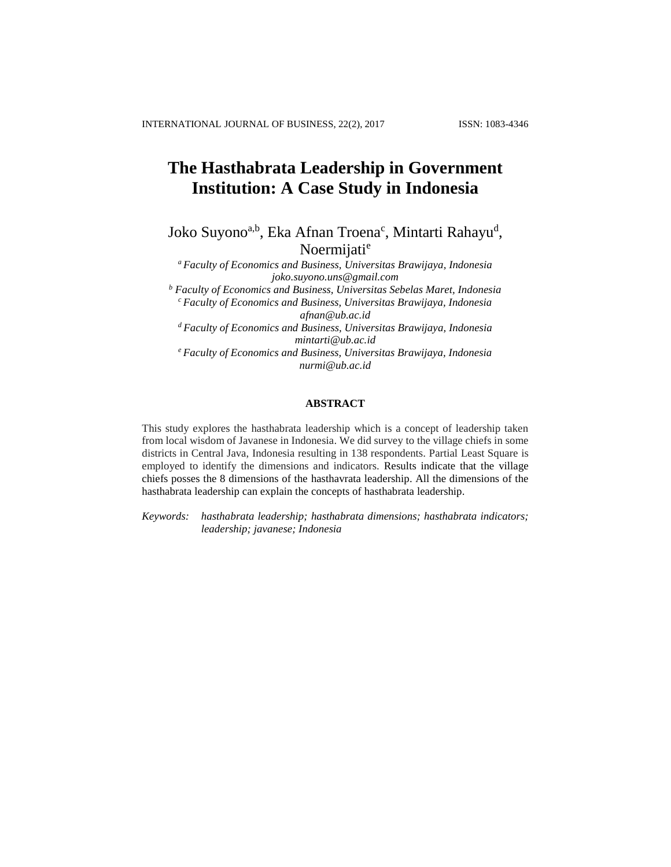# **The Hasthabrata Leadership in Government Institution: A Case Study in Indonesia**

Joko Suyono<sup>a,b</sup>, Eka Afnan Troena<sup>c</sup>, Mintarti Rahayu<sup>d</sup>, Noermijati<sup>e</sup>

*<sup>a</sup> Faculty of Economics and Business, Universitas Brawijaya, Indonesia joko.suyono.uns@gmail.com*

*<sup>b</sup> Faculty of Economics and Business, Universitas Sebelas Maret, Indonesia <sup>c</sup>Faculty of Economics and Business, Universitas Brawijaya, Indonesia [afnan@ub.ac.id](mailto:afnan@ub.ac.id)*

*<sup>d</sup>Faculty of Economics and Business, Universitas Brawijaya, Indonesia [mintarti@ub.ac.id](mailto:mintarti@ub.ac.id)*

*<sup>e</sup>Faculty of Economics and Business, Universitas Brawijaya, Indonesia [nurmi@ub.ac.id](mailto:nurmi@ub.ac.id)* 

# **ABSTRACT**

This study explores the hasthabrata leadership which is a concept of leadership taken from local wisdom of Javanese in Indonesia. We did survey to the village chiefs in some districts in Central Java, Indonesia resulting in 138 respondents. Partial Least Square is employed to identify the dimensions and indicators. Results indicate that the village chiefs posses the 8 dimensions of the hasthavrata leadership. All the dimensions of the hasthabrata leadership can explain the concepts of hasthabrata leadership.

*Keywords: hasthabrata leadership; hasthabrata dimensions; hasthabrata indicators; leadership; javanese; Indonesia*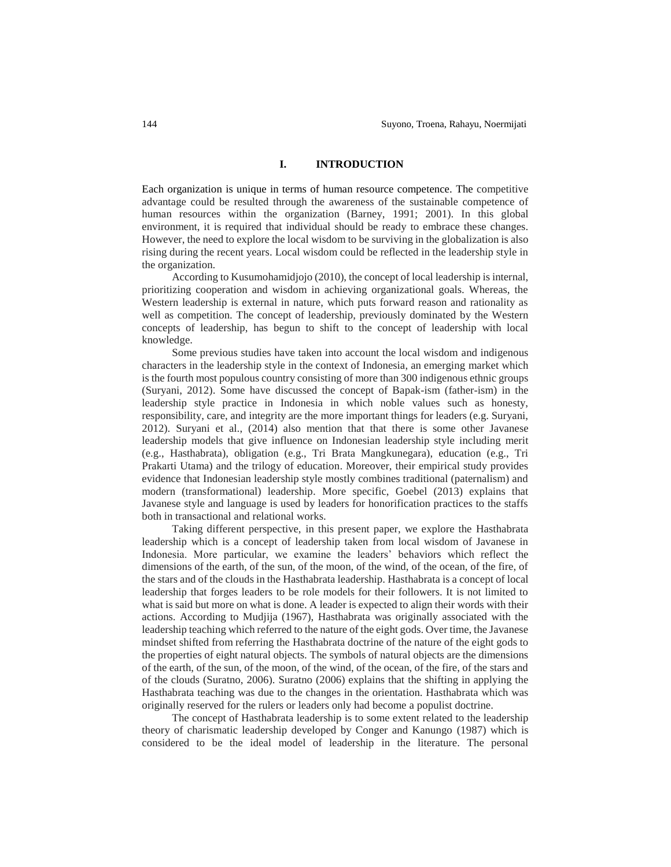## **I. INTRODUCTION**

Each organization is unique in terms of human resource competence. The competitive advantage could be resulted through the awareness of the sustainable competence of human resources within the organization (Barney, 1991; 2001). In this global environment, it is required that individual should be ready to embrace these changes. However, the need to explore the local wisdom to be surviving in the globalization is also rising during the recent years. Local wisdom could be reflected in the leadership style in the organization.

According to Kusumohamidjojo (2010), the concept of local leadership is internal, prioritizing cooperation and wisdom in achieving organizational goals. Whereas, the Western leadership is external in nature, which puts forward reason and rationality as well as competition. The concept of leadership, previously dominated by the Western concepts of leadership, has begun to shift to the concept of leadership with local knowledge.

Some previous studies have taken into account the local wisdom and indigenous characters in the leadership style in the context of Indonesia, an emerging market which is the fourth most populous country consisting of more than 300 indigenous ethnic groups (Suryani, 2012). Some have discussed the concept of Bapak-ism (father-ism) in the leadership style practice in Indonesia in which noble values such as honesty, responsibility, care, and integrity are the more important things for leaders (e.g. Suryani, 2012). Suryani et al., (2014) also mention that that there is some other Javanese leadership models that give influence on Indonesian leadership style including merit (e.g., Hasthabrata), obligation (e.g., Tri Brata Mangkunegara), education (e.g., Tri Prakarti Utama) and the trilogy of education. Moreover, their empirical study provides evidence that Indonesian leadership style mostly combines traditional (paternalism) and modern (transformational) leadership. More specific, Goebel (2013) explains that Javanese style and language is used by leaders for honorification practices to the staffs both in transactional and relational works.

Taking different perspective, in this present paper, we explore the Hasthabrata leadership which is a concept of leadership taken from local wisdom of Javanese in Indonesia. More particular, we examine the leaders' behaviors which reflect the dimensions of the earth, of the sun, of the moon, of the wind, of the ocean, of the fire, of the stars and of the clouds in the Hasthabrata leadership. Hasthabrata is a concept of local leadership that forges leaders to be role models for their followers. It is not limited to what is said but more on what is done. A leader is expected to align their words with their actions. According to Mudjija (1967), Hasthabrata was originally associated with the leadership teaching which referred to the nature of the eight gods. Over time, the Javanese mindset shifted from referring the Hasthabrata doctrine of the nature of the eight gods to the properties of eight natural objects. The symbols of natural objects are the dimensions of the earth, of the sun, of the moon, of the wind, of the ocean, of the fire, of the stars and of the clouds (Suratno, 2006). Suratno (2006) explains that the shifting in applying the Hasthabrata teaching was due to the changes in the orientation. Hasthabrata which was originally reserved for the rulers or leaders only had become a populist doctrine.

The concept of Hasthabrata leadership is to some extent related to the leadership theory of charismatic leadership developed by Conger and Kanungo (1987) which is considered to be the ideal model of leadership in the literature. The personal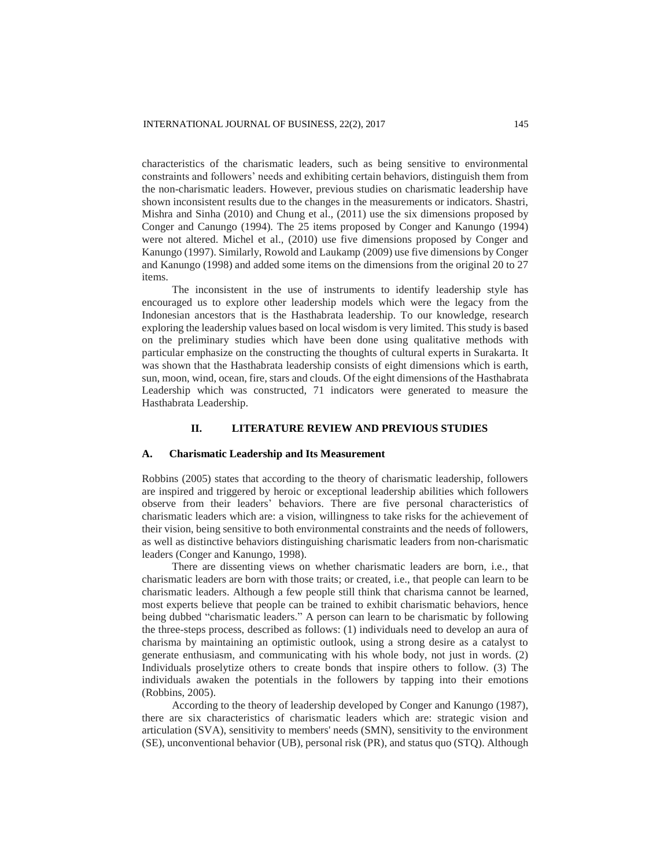characteristics of the charismatic leaders, such as being sensitive to environmental constraints and followers' needs and exhibiting certain behaviors, distinguish them from the non-charismatic leaders. However, previous studies on charismatic leadership have shown inconsistent results due to the changes in the measurements or indicators. Shastri, Mishra and Sinha (2010) and Chung et al., (2011) use the six dimensions proposed by Conger and Canungo (1994). The 25 items proposed by Conger and Kanungo (1994) were not altered. Michel et al., (2010) use five dimensions proposed by Conger and Kanungo (1997). Similarly, Rowold and Laukamp (2009) use five dimensions by Conger and Kanungo (1998) and added some items on the dimensions from the original 20 to 27 items.

The inconsistent in the use of instruments to identify leadership style has encouraged us to explore other leadership models which were the legacy from the Indonesian ancestors that is the Hasthabrata leadership. To our knowledge, research exploring the leadership values based on local wisdom is very limited. This study is based on the preliminary studies which have been done using qualitative methods with particular emphasize on the constructing the thoughts of cultural experts in Surakarta. It was shown that the Hasthabrata leadership consists of eight dimensions which is earth, sun, moon, wind, ocean, fire, stars and clouds. Of the eight dimensions of the Hasthabrata Leadership which was constructed, 71 indicators were generated to measure the Hasthabrata Leadership.

## **II. LITERATURE REVIEW AND PREVIOUS STUDIES**

## **A. Charismatic Leadership and Its Measurement**

Robbins (2005) states that according to the theory of charismatic leadership, followers are inspired and triggered by heroic or exceptional leadership abilities which followers observe from their leaders' behaviors. There are five personal characteristics of charismatic leaders which are: a vision, willingness to take risks for the achievement of their vision, being sensitive to both environmental constraints and the needs of followers, as well as distinctive behaviors distinguishing charismatic leaders from non-charismatic leaders (Conger and Kanungo, 1998).

There are dissenting views on whether charismatic leaders are born, i.e., that charismatic leaders are born with those traits; or created, i.e., that people can learn to be charismatic leaders. Although a few people still think that charisma cannot be learned, most experts believe that people can be trained to exhibit charismatic behaviors, hence being dubbed "charismatic leaders." A person can learn to be charismatic by following the three-steps process, described as follows: (1) individuals need to develop an aura of charisma by maintaining an optimistic outlook, using a strong desire as a catalyst to generate enthusiasm, and communicating with his whole body, not just in words. (2) Individuals proselytize others to create bonds that inspire others to follow. (3) The individuals awaken the potentials in the followers by tapping into their emotions (Robbins, 2005).

According to the theory of leadership developed by Conger and Kanungo (1987), there are six characteristics of charismatic leaders which are: strategic vision and articulation (SVA), sensitivity to members' needs (SMN), sensitivity to the environment (SE), unconventional behavior (UB), personal risk (PR), and status quo (STQ). Although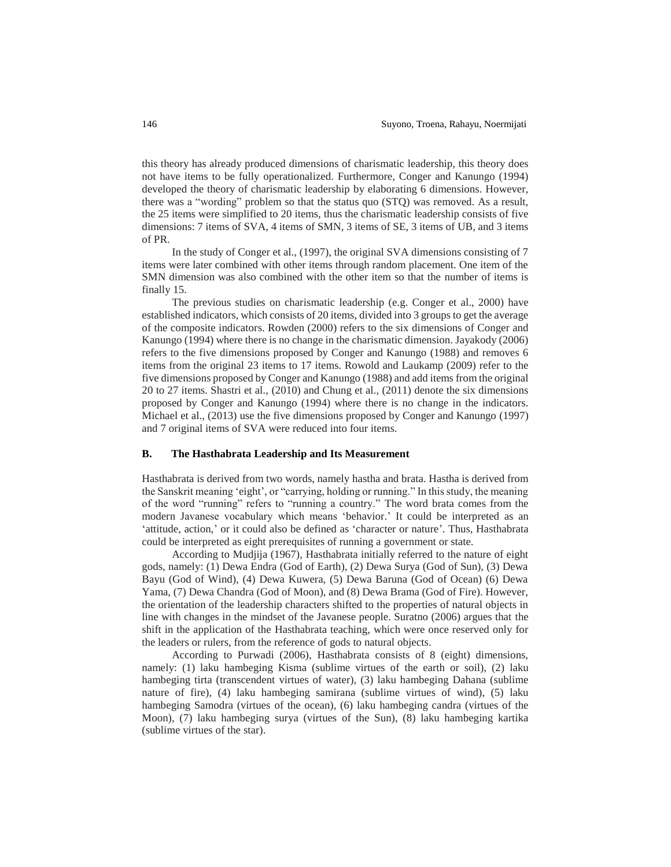this theory has already produced dimensions of charismatic leadership, this theory does not have items to be fully operationalized. Furthermore, Conger and Kanungo (1994) developed the theory of charismatic leadership by elaborating 6 dimensions. However, there was a "wording" problem so that the status quo (STQ) was removed. As a result, the 25 items were simplified to 20 items, thus the charismatic leadership consists of five dimensions: 7 items of SVA, 4 items of SMN, 3 items of SE, 3 items of UB, and 3 items of PR.

In the study of Conger et al., (1997), the original SVA dimensions consisting of 7 items were later combined with other items through random placement. One item of the SMN dimension was also combined with the other item so that the number of items is finally 15.

The previous studies on charismatic leadership (e.g. Conger et al., 2000) have established indicators, which consists of 20 items, divided into 3 groups to get the average of the composite indicators. Rowden (2000) refers to the six dimensions of Conger and Kanungo (1994) where there is no change in the charismatic dimension. Jayakody (2006) refers to the five dimensions proposed by Conger and Kanungo (1988) and removes 6 items from the original 23 items to 17 items. Rowold and Laukamp (2009) refer to the five dimensions proposed by Conger and Kanungo (1988) and add items from the original 20 to 27 items. Shastri et al., (2010) and Chung et al., (2011) denote the six dimensions proposed by Conger and Kanungo (1994) where there is no change in the indicators. Michael et al., (2013) use the five dimensions proposed by Conger and Kanungo (1997) and 7 original items of SVA were reduced into four items.

## **B. The Hasthabrata Leadership and Its Measurement**

Hasthabrata is derived from two words, namely hastha and brata. Hastha is derived from the Sanskrit meaning 'eight', or "carrying, holding or running." In this study, the meaning of the word "running" refers to "running a country." The word brata comes from the modern Javanese vocabulary which means 'behavior.' It could be interpreted as an 'attitude, action,' or it could also be defined as 'character or nature'. Thus, Hasthabrata could be interpreted as eight prerequisites of running a government or state.

According to Mudjija (1967), Hasthabrata initially referred to the nature of eight gods, namely: (1) Dewa Endra (God of Earth), (2) Dewa Surya (God of Sun), (3) Dewa Bayu (God of Wind), (4) Dewa Kuwera, (5) Dewa Baruna (God of Ocean) (6) Dewa Yama, (7) Dewa Chandra (God of Moon), and (8) Dewa Brama (God of Fire). However, the orientation of the leadership characters shifted to the properties of natural objects in line with changes in the mindset of the Javanese people. Suratno (2006) argues that the shift in the application of the Hasthabrata teaching, which were once reserved only for the leaders or rulers, from the reference of gods to natural objects.

According to Purwadi (2006), Hasthabrata consists of 8 (eight) dimensions, namely: (1) laku hambeging Kisma (sublime virtues of the earth or soil), (2) laku hambeging tirta (transcendent virtues of water), (3) laku hambeging Dahana (sublime nature of fire), (4) laku hambeging samirana (sublime virtues of wind), (5) laku hambeging Samodra (virtues of the ocean), (6) laku hambeging candra (virtues of the Moon), (7) laku hambeging surya (virtues of the Sun), (8) laku hambeging kartika (sublime virtues of the star).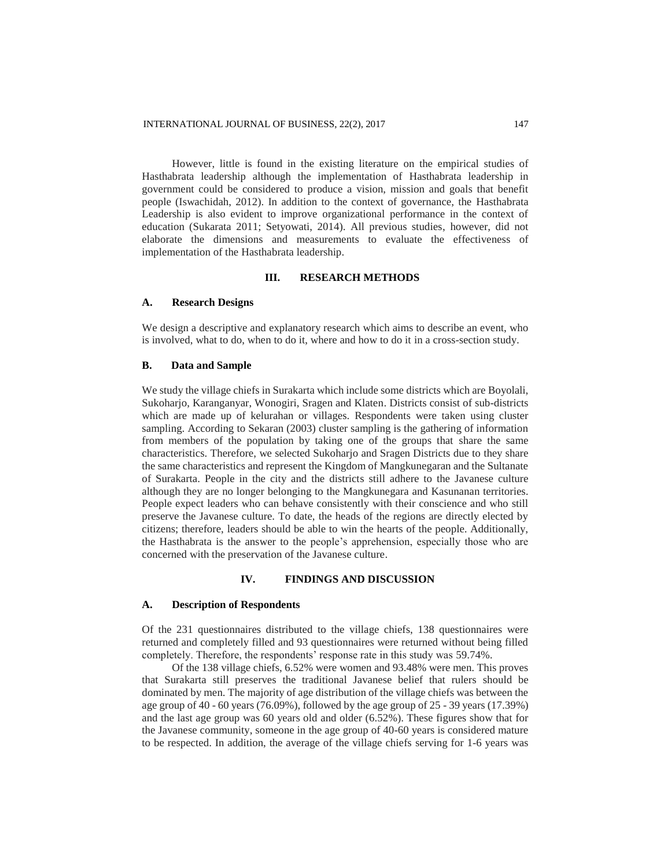However, little is found in the existing literature on the empirical studies of Hasthabrata leadership although the implementation of Hasthabrata leadership in government could be considered to produce a vision, mission and goals that benefit people (Iswachidah, 2012). In addition to the context of governance, the Hasthabrata Leadership is also evident to improve organizational performance in the context of education (Sukarata 2011; Setyowati, 2014). All previous studies, however, did not elaborate the dimensions and measurements to evaluate the effectiveness of implementation of the Hasthabrata leadership.

# **III. RESEARCH METHODS**

## **A. Research Designs**

We design a descriptive and explanatory research which aims to describe an event, who is involved, what to do, when to do it, where and how to do it in a cross-section study.

## **B. Data and Sample**

We study the village chiefs in Surakarta which include some districts which are Boyolali, Sukoharjo, Karanganyar, Wonogiri, Sragen and Klaten. Districts consist of sub-districts which are made up of kelurahan or villages. Respondents were taken using cluster sampling. According to Sekaran (2003) cluster sampling is the gathering of information from members of the population by taking one of the groups that share the same characteristics. Therefore, we selected Sukoharjo and Sragen Districts due to they share the same characteristics and represent the Kingdom of Mangkunegaran and the Sultanate of Surakarta. People in the city and the districts still adhere to the Javanese culture although they are no longer belonging to the Mangkunegara and Kasunanan territories. People expect leaders who can behave consistently with their conscience and who still preserve the Javanese culture. To date, the heads of the regions are directly elected by citizens; therefore, leaders should be able to win the hearts of the people. Additionally, the Hasthabrata is the answer to the people's apprehension, especially those who are concerned with the preservation of the Javanese culture.

## **IV. FINDINGS AND DISCUSSION**

#### **A. Description of Respondents**

Of the 231 questionnaires distributed to the village chiefs, 138 questionnaires were returned and completely filled and 93 questionnaires were returned without being filled completely. Therefore, the respondents' response rate in this study was 59.74%.

Of the 138 village chiefs, 6.52% were women and 93.48% were men. This proves that Surakarta still preserves the traditional Javanese belief that rulers should be dominated by men. The majority of age distribution of the village chiefs was between the age group of 40 - 60 years (76.09%), followed by the age group of 25 - 39 years (17.39%) and the last age group was 60 years old and older (6.52%). These figures show that for the Javanese community, someone in the age group of 40-60 years is considered mature to be respected. In addition, the average of the village chiefs serving for 1-6 years was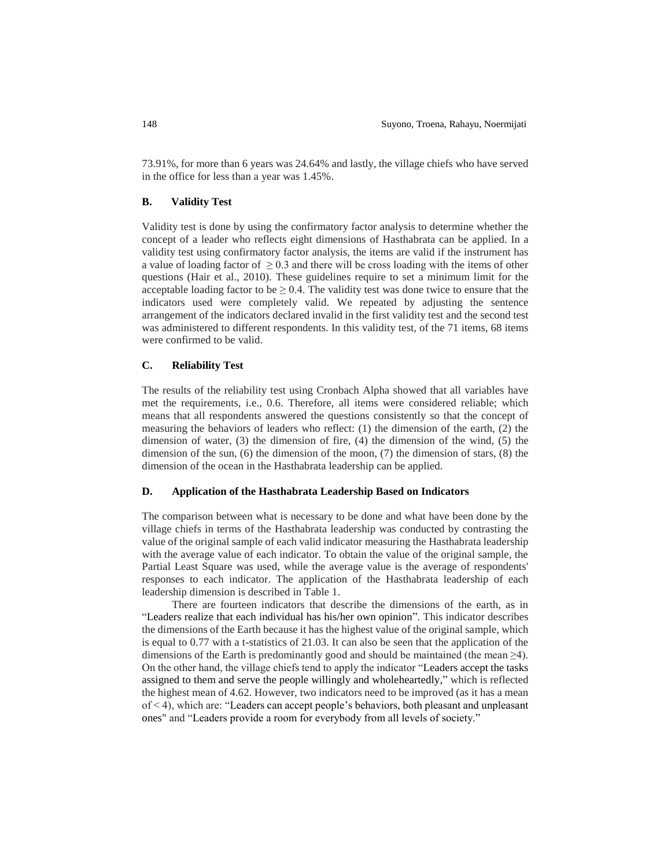73.91%, for more than 6 years was 24.64% and lastly, the village chiefs who have served in the office for less than a year was 1.45%.

## **B. Validity Test**

Validity test is done by using the confirmatory factor analysis to determine whether the concept of a leader who reflects eight dimensions of Hasthabrata can be applied. In a validity test using confirmatory factor analysis, the items are valid if the instrument has a value of loading factor of  $\geq 0.3$  and there will be cross loading with the items of other questions (Hair et al., 2010). These guidelines require to set a minimum limit for the acceptable loading factor to be  $\geq 0.4$ . The validity test was done twice to ensure that the indicators used were completely valid. We repeated by adjusting the sentence arrangement of the indicators declared invalid in the first validity test and the second test was administered to different respondents. In this validity test, of the 71 items, 68 items were confirmed to be valid.

## **C. Reliability Test**

The results of the reliability test using Cronbach Alpha showed that all variables have met the requirements, i.e., 0.6. Therefore, all items were considered reliable; which means that all respondents answered the questions consistently so that the concept of measuring the behaviors of leaders who reflect: (1) the dimension of the earth, (2) the dimension of water, (3) the dimension of fire, (4) the dimension of the wind, (5) the dimension of the sun, (6) the dimension of the moon, (7) the dimension of stars, (8) the dimension of the ocean in the Hasthabrata leadership can be applied.

## **D. Application of the Hasthabrata Leadership Based on Indicators**

The comparison between what is necessary to be done and what have been done by the village chiefs in terms of the Hasthabrata leadership was conducted by contrasting the value of the original sample of each valid indicator measuring the Hasthabrata leadership with the average value of each indicator. To obtain the value of the original sample, the Partial Least Square was used, while the average value is the average of respondents' responses to each indicator. The application of the Hasthabrata leadership of each leadership dimension is described in Table 1.

There are fourteen indicators that describe the dimensions of the earth, as in "Leaders realize that each individual has his/her own opinion". This indicator describes the dimensions of the Earth because it has the highest value of the original sample, which is equal to 0.77 with a t-statistics of 21.03. It can also be seen that the application of the dimensions of the Earth is predominantly good and should be maintained (the mean  $\geq$ 4). On the other hand, the village chiefs tend to apply the indicator "Leaders accept the tasks assigned to them and serve the people willingly and wholeheartedly," which is reflected the highest mean of 4.62. However, two indicators need to be improved (as it has a mean of < 4), which are: "Leaders can accept people's behaviors, both pleasant and unpleasant ones" and "Leaders provide a room for everybody from all levels of society."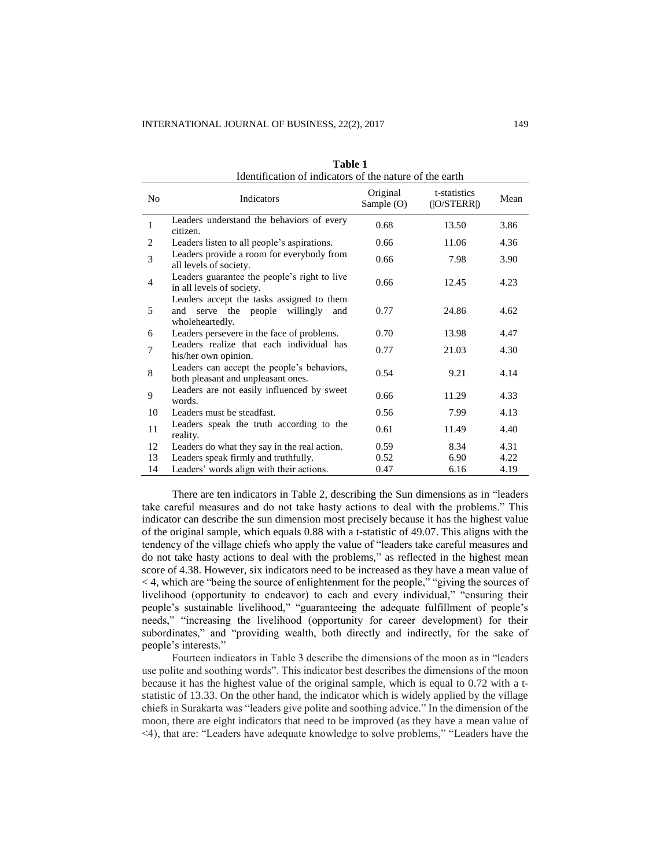| Identification of indicators of the nature of the earth |                                                                                                             |                        |                             |      |
|---------------------------------------------------------|-------------------------------------------------------------------------------------------------------------|------------------------|-----------------------------|------|
| N <sub>0</sub>                                          | Indicators                                                                                                  | Original<br>Sample (O) | t-statistics<br>( O/STERR ) | Mean |
| $\mathbf{1}$                                            | Leaders understand the behaviors of every<br>citizen.                                                       | 0.68                   | 13.50                       | 3.86 |
| 2                                                       | Leaders listen to all people's aspirations.                                                                 | 0.66                   | 11.06                       | 4.36 |
| 3                                                       | Leaders provide a room for everybody from<br>all levels of society.                                         | 0.66                   | 7.98                        | 3.90 |
| $\overline{4}$                                          | Leaders guarantee the people's right to live<br>in all levels of society.                                   | 0.66                   | 12.45                       | 4.23 |
| 5                                                       | Leaders accept the tasks assigned to them<br>willingly<br>serve the people<br>and<br>and<br>wholeheartedly. | 0.77                   | 24.86                       | 4.62 |
| 6                                                       | Leaders persevere in the face of problems.                                                                  | 0.70                   | 13.98                       | 4.47 |
| 7                                                       | Leaders realize that each individual has<br>his/her own opinion.                                            | 0.77                   | 21.03                       | 4.30 |
| 8                                                       | Leaders can accept the people's behaviors,<br>both pleasant and unpleasant ones.                            | 0.54                   | 9.21                        | 4.14 |
| 9                                                       | Leaders are not easily influenced by sweet<br>words.                                                        | 0.66                   | 11.29                       | 4.33 |
| 10                                                      | Leaders must be steadfast.                                                                                  | 0.56                   | 7.99                        | 4.13 |
| 11                                                      | Leaders speak the truth according to the<br>reality.                                                        | 0.61                   | 11.49                       | 4.40 |
| 12                                                      | Leaders do what they say in the real action.                                                                | 0.59                   | 8.34                        | 4.31 |
| 13                                                      | Leaders speak firmly and truthfully.                                                                        | 0.52                   | 6.90                        | 4.22 |
| 14                                                      | Leaders' words align with their actions.                                                                    | 0.47                   | 6.16                        | 4.19 |

**Table 1** Identification of indicators of the nature of the earth

There are ten indicators in Table 2, describing the Sun dimensions as in "leaders take careful measures and do not take hasty actions to deal with the problems." This indicator can describe the sun dimension most precisely because it has the highest value of the original sample, which equals 0.88 with a t-statistic of 49.07. This aligns with the tendency of the village chiefs who apply the value of "leaders take careful measures and do not take hasty actions to deal with the problems," as reflected in the highest mean score of 4.38. However, six indicators need to be increased as they have a mean value of < 4, which are "being the source of enlightenment for the people," "giving the sources of livelihood (opportunity to endeavor) to each and every individual," "ensuring their people's sustainable livelihood," "guaranteeing the adequate fulfillment of people's needs," "increasing the livelihood (opportunity for career development) for their subordinates," and "providing wealth, both directly and indirectly, for the sake of people's interests."

Fourteen indicators in Table 3 describe the dimensions of the moon as in "leaders use polite and soothing words". This indicator best describes the dimensions of the moon because it has the highest value of the original sample, which is equal to 0.72 with a tstatistic of 13.33. On the other hand, the indicator which is widely applied by the village chiefs in Surakarta was "leaders give polite and soothing advice." In the dimension of the moon, there are eight indicators that need to be improved (as they have a mean value of <4), that are: "Leaders have adequate knowledge to solve problems," "Leaders have the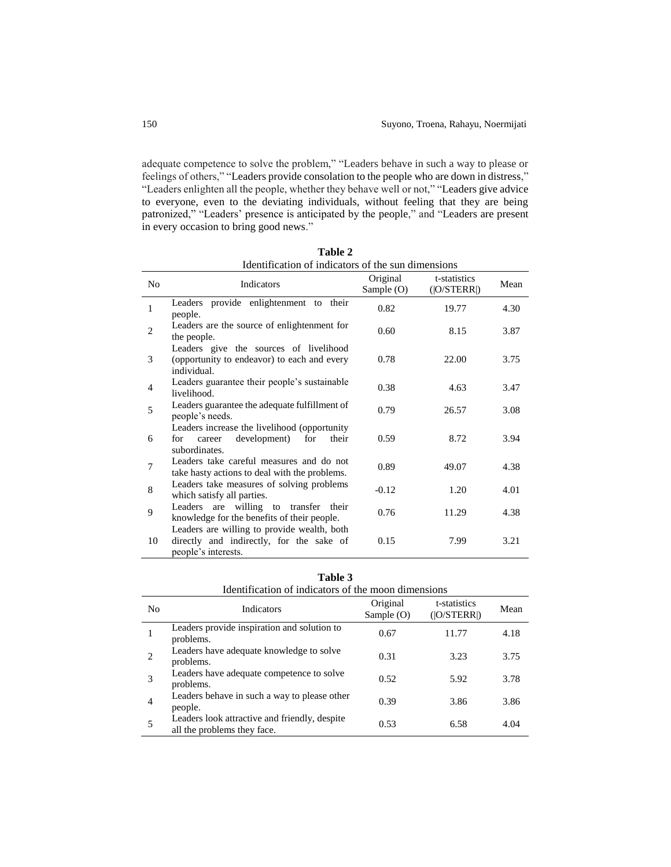adequate competence to solve the problem," "Leaders behave in such a way to please or feelings of others," "Leaders provide consolation to the people who are down in distress," "Leaders enlighten all the people, whether they behave well or not," "Leaders give advice to everyone, even to the deviating individuals, without feeling that they are being patronized," "Leaders' presence is anticipated by the people," and "Leaders are present in every occasion to bring good news."

| rdentification of murcators of the sun dimensions |                                                                                                                |                          |                             |      |
|---------------------------------------------------|----------------------------------------------------------------------------------------------------------------|--------------------------|-----------------------------|------|
| No                                                | Indicators                                                                                                     | Original<br>Sample $(O)$ | t-statistics<br>( O/STERR ) | Mean |
| 1                                                 | Leaders provide enlightenment to their<br>people.                                                              | 0.82                     | 19.77                       | 4.30 |
| $\overline{2}$                                    | Leaders are the source of enlightenment for<br>the people.                                                     | 0.60                     | 8.15                        | 3.87 |
| 3                                                 | Leaders give the sources of livelihood<br>(opportunity to endeavor) to each and every<br>individual.           | 0.78                     | 22.00                       | 3.75 |
| 4                                                 | Leaders guarantee their people's sustainable<br>livelihood.                                                    | 0.38                     | 4.63                        | 3.47 |
| 5                                                 | Leaders guarantee the adequate fulfillment of<br>people's needs.                                               | 0.79                     | 26.57                       | 3.08 |
| 6                                                 | Leaders increase the livelihood (opportunity<br>development)<br>for<br>for<br>their<br>career<br>subordinates. | 0.59                     | 8.72                        | 3.94 |
| $\overline{7}$                                    | Leaders take careful measures and do not<br>take hasty actions to deal with the problems.                      | 0.89                     | 49.07                       | 4.38 |
| 8                                                 | Leaders take measures of solving problems<br>which satisfy all parties.                                        | $-0.12$                  | 1.20                        | 4.01 |
| 9                                                 | Leaders are willing to transfer their<br>knowledge for the benefits of their people.                           | 0.76                     | 11.29                       | 4.38 |
| 10                                                | Leaders are willing to provide wealth, both<br>directly and indirectly, for the sake of<br>people's interests. | 0.15                     | 7.99                        | 3.21 |

**Table 2** Identification of indicators of the sun dimensions

|                | RRAHARARAH VI HRIKIKAN 9 VI LIK HRAZII WIHIKIBINIB                           |                          |                             |      |
|----------------|------------------------------------------------------------------------------|--------------------------|-----------------------------|------|
| N <sub>0</sub> | Indicators                                                                   | Original<br>Sample $(O)$ | t-statistics<br>( O/STERR ) | Mean |
| 1              | Leaders provide inspiration and solution to<br>problems.                     | 0.67                     | 11.77                       | 4.18 |
| 2              | Leaders have adequate knowledge to solve<br>problems.                        | 0.31                     | 3.23                        | 3.75 |
| 3              | Leaders have adequate competence to solve<br>problems.                       | 0.52                     | 5.92                        | 3.78 |
| 4              | Leaders behave in such a way to please other<br>people.                      | 0.39                     | 3.86                        | 3.86 |
| 5              | Leaders look attractive and friendly, despite<br>all the problems they face. | 0.53                     | 6.58                        | 4.04 |
|                |                                                                              |                          |                             |      |

| Table 3                                             |
|-----------------------------------------------------|
| Identification of indicators of the moon dimensions |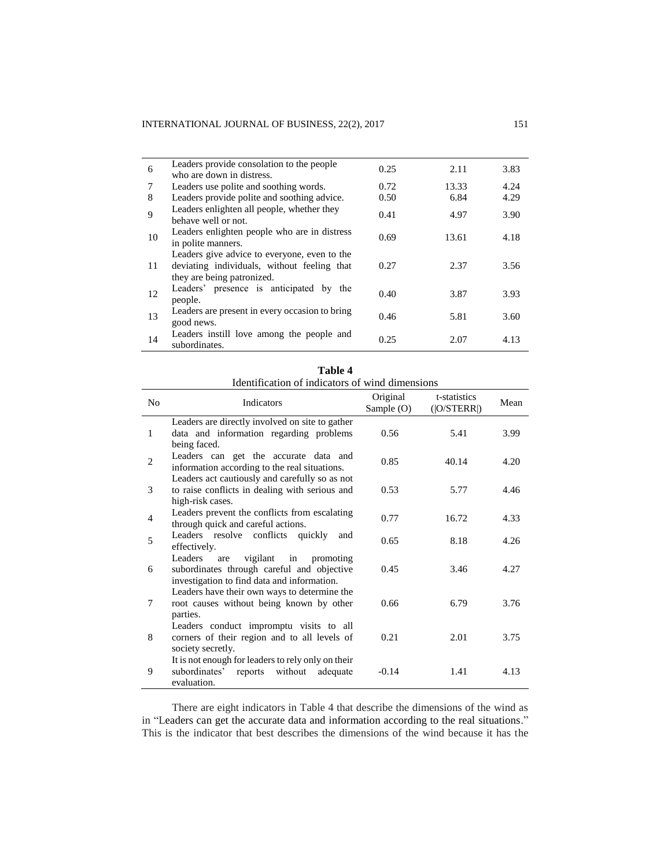| 6  | Leaders provide consolation to the people<br>who are down in distress.                                                    | 0.25 | 2.11  | 3.83 |
|----|---------------------------------------------------------------------------------------------------------------------------|------|-------|------|
| 7  | Leaders use polite and soothing words.                                                                                    | 0.72 | 13.33 | 4.24 |
| 8  | Leaders provide polite and soothing advice.                                                                               | 0.50 | 6.84  | 4.29 |
| 9  | Leaders enlighten all people, whether they<br>behave well or not.                                                         | 0.41 | 4.97  | 3.90 |
| 10 | Leaders enlighten people who are in distress<br>in polite manners.                                                        | 0.69 | 13.61 | 4.18 |
| 11 | Leaders give advice to everyone, even to the<br>deviating individuals, without feeling that<br>they are being patronized. | 0.27 | 2.37  | 3.56 |
| 12 | Leaders' presence is anticipated by the<br>people.                                                                        | 0.40 | 3.87  | 3.93 |
| 13 | Leaders are present in every occasion to bring<br>good news.                                                              | 0.46 | 5.81  | 3.60 |
| 14 | Leaders instill love among the people and<br>subordinates.                                                                | 0.25 | 2.07  | 4.13 |

| Table 4                                         |  |
|-------------------------------------------------|--|
| Identification of indicators of wind dimensions |  |

|                | ruchtineation of mureators of white uniferistons                                                                                               |                        |                             |      |
|----------------|------------------------------------------------------------------------------------------------------------------------------------------------|------------------------|-----------------------------|------|
| N <sub>0</sub> | Indicators                                                                                                                                     | Original<br>Sample (O) | t-statistics<br>( O/STERR ) | Mean |
| 1              | Leaders are directly involved on site to gather<br>data and information regarding problems<br>being faced.                                     | 0.56                   | 5.41                        | 3.99 |
| $\overline{2}$ | Leaders can get the accurate data and<br>information according to the real situations.                                                         | 0.85                   | 40.14                       | 4.20 |
| 3              | Leaders act cautiously and carefully so as not<br>to raise conflicts in dealing with serious and<br>high-risk cases.                           | 0.53                   | 5.77                        | 4.46 |
| $\overline{4}$ | Leaders prevent the conflicts from escalating<br>through quick and careful actions.                                                            | 0.77                   | 16.72                       | 4.33 |
| 5              | Leaders resolve conflicts quickly<br>and<br>effectively.                                                                                       | 0.65                   | 8.18                        | 4.26 |
| 6              | Leaders<br>vigilant<br>$\sin$<br>promoting<br>are<br>subordinates through careful and objective<br>investigation to find data and information. | 0.45                   | 3.46                        | 4.27 |
| 7              | Leaders have their own ways to determine the<br>root causes without being known by other<br>parties.                                           | 0.66                   | 6.79                        | 3.76 |
| 8              | Leaders conduct impromptu visits to all<br>corners of their region and to all levels of<br>society secretly.                                   | 0.21                   | 2.01                        | 3.75 |
| 9              | It is not enough for leaders to rely only on their<br>subordinates'<br>without<br>reports<br>adequate<br>evaluation.                           | $-0.14$                | 1.41                        | 4.13 |

There are eight indicators in Table 4 that describe the dimensions of the wind as in "Leaders can get the accurate data and information according to the real situations." This is the indicator that best describes the dimensions of the wind because it has the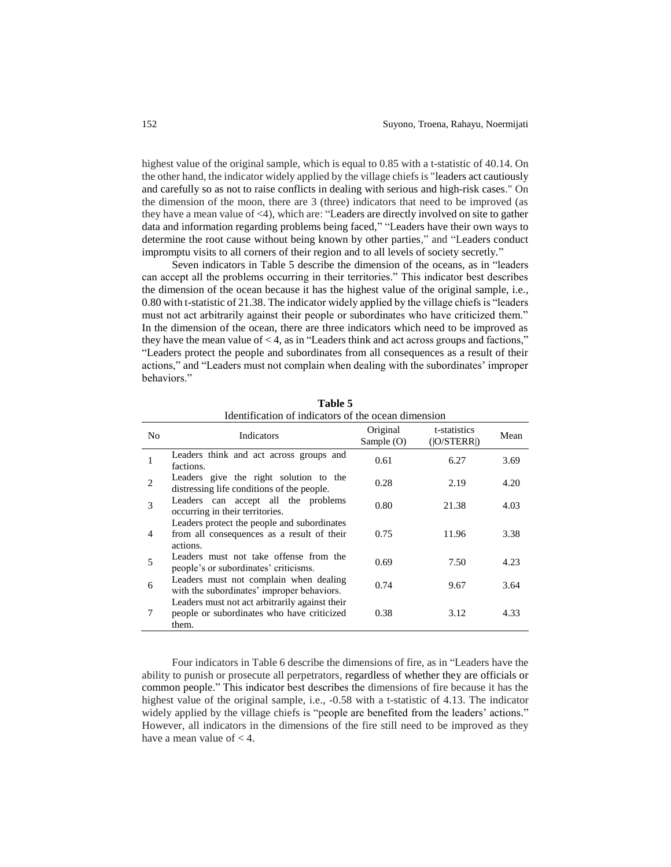highest value of the original sample, which is equal to 0.85 with a t-statistic of 40.14. On the other hand, the indicator widely applied by the village chiefs is "leaders act cautiously and carefully so as not to raise conflicts in dealing with serious and high-risk cases." On the dimension of the moon, there are 3 (three) indicators that need to be improved (as they have a mean value of <4), which are: "Leaders are directly involved on site to gather data and information regarding problems being faced," "Leaders have their own ways to determine the root cause without being known by other parties," and "Leaders conduct impromptu visits to all corners of their region and to all levels of society secretly."

Seven indicators in Table 5 describe the dimension of the oceans, as in "leaders can accept all the problems occurring in their territories." This indicator best describes the dimension of the ocean because it has the highest value of the original sample, i.e., 0.80 with t-statistic of 21.38. The indicator widely applied by the village chiefs is "leaders must not act arbitrarily against their people or subordinates who have criticized them." In the dimension of the ocean, there are three indicators which need to be improved as they have the mean value of  $<$  4, as in "Leaders think and act across groups and factions," "Leaders protect the people and subordinates from all consequences as a result of their actions," and "Leaders must not complain when dealing with the subordinates' improper behaviors."

| Ruellulleation of mulcators of the ocean unnelision |                                                                                                       |                          |                             |      |  |
|-----------------------------------------------------|-------------------------------------------------------------------------------------------------------|--------------------------|-----------------------------|------|--|
| No                                                  | Indicators                                                                                            | Original<br>Sample $(O)$ | t-statistics<br>( O/STERR ) | Mean |  |
|                                                     | Leaders think and act across groups and<br>factions.                                                  | 0.61                     | 6.27                        | 3.69 |  |
| 2                                                   | Leaders give the right solution to the<br>distressing life conditions of the people.                  | 0.28                     | 2.19                        | 4.20 |  |
| 3                                                   | Leaders can accept all the problems<br>occurring in their territories.                                | 0.80                     | 21.38                       | 4.03 |  |
| 4                                                   | Leaders protect the people and subordinates<br>from all consequences as a result of their<br>actions. | 0.75                     | 11.96                       | 3.38 |  |
| 5                                                   | Leaders must not take offense from the<br>people's or subordinates' criticisms.                       | 0.69                     | 7.50                        | 4.23 |  |
| 6                                                   | Leaders must not complain when dealing<br>with the subordinates' improper behaviors.                  | 0.74                     | 9.67                        | 3.64 |  |
| 7                                                   | Leaders must not act arbitrarily against their<br>people or subordinates who have criticized<br>them. | 0.38                     | 3.12                        | 4.33 |  |

**Table 5** Identification of indicators of the ocean dimension

Four indicators in Table 6 describe the dimensions of fire, as in "Leaders have the ability to punish or prosecute all perpetrators, regardless of whether they are officials or common people." This indicator best describes the dimensions of fire because it has the highest value of the original sample, i.e.,  $-0.58$  with a t-statistic of 4.13. The indicator widely applied by the village chiefs is "people are benefited from the leaders' actions." However, all indicators in the dimensions of the fire still need to be improved as they have a mean value of < 4.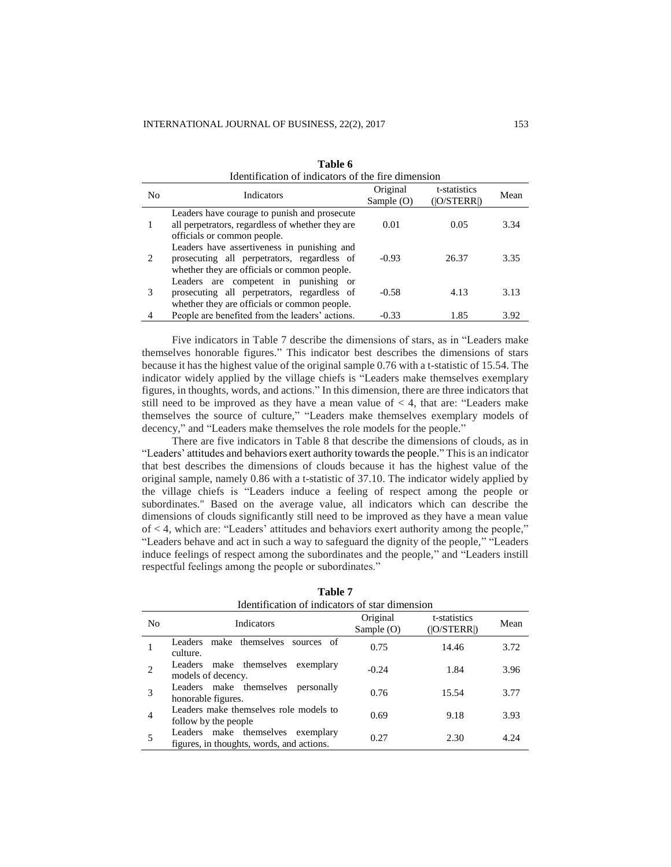| N <sub>0</sub> | Indicators                                                                                                                                 | Original<br>Sample $(O)$ | t-statistics<br>( O/STERR ) | Mean |
|----------------|--------------------------------------------------------------------------------------------------------------------------------------------|--------------------------|-----------------------------|------|
|                | Leaders have courage to punish and prosecute<br>all perpetrators, regardless of whether they are<br>officials or common people.            | 0.01                     | 0.05                        | 3.34 |
| $2^{1}$        | Leaders have assertiveness in punishing and<br>prosecuting all perpetrators, regardless of<br>whether they are officials or common people. | $-0.93$                  | 26.37                       | 3.35 |
|                | Leaders are competent in punishing or<br>prosecuting all perpetrators, regardless of<br>whether they are officials or common people.       | $-0.58$                  | 4.13                        | 3.13 |
|                | People are benefited from the leaders' actions.                                                                                            | $-0.33$                  | 1.85                        | 3.92 |

**Table 6** Identification of indicators of the fire dimension

Five indicators in Table 7 describe the dimensions of stars, as in "Leaders make themselves honorable figures." This indicator best describes the dimensions of stars because it has the highest value of the original sample 0.76 with a t-statistic of 15.54. The indicator widely applied by the village chiefs is "Leaders make themselves exemplary figures, in thoughts, words, and actions." In this dimension, there are three indicators that still need to be improved as they have a mean value of  $<$  4, that are: "Leaders make themselves the source of culture," "Leaders make themselves exemplary models of decency," and "Leaders make themselves the role models for the people."

There are five indicators in Table 8 that describe the dimensions of clouds, as in "Leaders' attitudes and behaviors exert authority towards the people." This is an indicator that best describes the dimensions of clouds because it has the highest value of the original sample, namely 0.86 with a t-statistic of 37.10. The indicator widely applied by the village chiefs is "Leaders induce a feeling of respect among the people or subordinates." Based on the average value, all indicators which can describe the dimensions of clouds significantly still need to be improved as they have a mean value of < 4, which are: "Leaders' attitudes and behaviors exert authority among the people," "Leaders behave and act in such a way to safeguard the dignity of the people," "Leaders induce feelings of respect among the subordinates and the people," and "Leaders instill respectful feelings among the people or subordinates."

|                | Identification of indicators of star dimension                                    |                          |                             |      |  |
|----------------|-----------------------------------------------------------------------------------|--------------------------|-----------------------------|------|--|
| N <sub>0</sub> | Indicators                                                                        | Original<br>Sample $(O)$ | t-statistics<br>( O/STERR ) | Mean |  |
|                | make themselves sources of<br>Leaders<br>culture.                                 | 0.75                     | 14.46                       | 3.72 |  |
|                | Leaders make themselves<br>exemplary<br>models of decency.                        | $-0.24$                  | 1.84                        | 3.96 |  |
| 3              | Leaders make themselves<br>personally<br>honorable figures.                       | 0.76                     | 15.54                       | 3.77 |  |
| $\overline{4}$ | Leaders make themselves role models to<br>follow by the people                    | 0.69                     | 9.18                        | 3.93 |  |
|                | Leaders make themselves<br>exemplary<br>figures, in thoughts, words, and actions. | 0.27                     | 2.30                        | 4.24 |  |

**Table 7**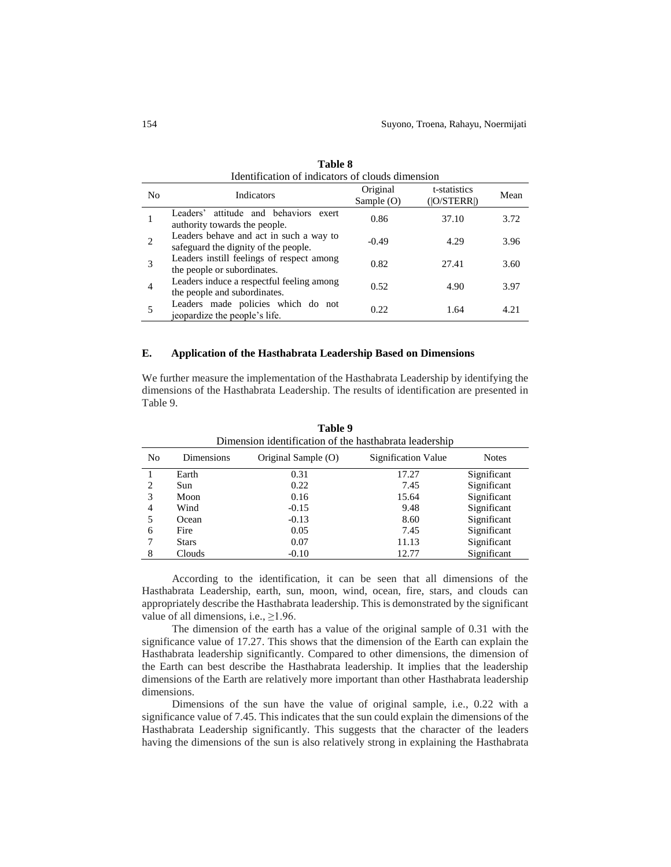|                | Identification of indicators of clouds dimension                                |                          |                             |      |  |  |
|----------------|---------------------------------------------------------------------------------|--------------------------|-----------------------------|------|--|--|
| N <sub>0</sub> | Indicators                                                                      | Original<br>Sample $(O)$ | t-statistics<br>( O/STERR ) | Mean |  |  |
|                | attitude and behaviors exert<br>Leaders'<br>authority towards the people.       | 0.86                     | 37.10                       | 3.72 |  |  |
|                | Leaders behave and act in such a way to<br>safeguard the dignity of the people. | $-0.49$                  | 4.29                        | 3.96 |  |  |
| 3              | Leaders instill feelings of respect among<br>the people or subordinates.        | 0.82                     | 27.41                       | 3.60 |  |  |
| $\overline{4}$ | Leaders induce a respectful feeling among<br>the people and subordinates.       | 0.52                     | 4.90                        | 3.97 |  |  |
|                | Leaders made policies which do not<br>jeopardize the people's life.             | 0.22                     | 1.64                        | 4.21 |  |  |

**Table 8**

#### **E. Application of the Hasthabrata Leadership Based on Dimensions**

We further measure the implementation of the Hasthabrata Leadership by identifying the dimensions of the Hasthabrata Leadership. The results of identification are presented in Table 9.

| No | Dimensions   | Original Sample (O) | Signification Value | <b>Notes</b> |  |  |
|----|--------------|---------------------|---------------------|--------------|--|--|
|    | Earth        | 0.31                | 17.27               | Significant  |  |  |
| 2  | Sun          | 0.22                | 7.45                | Significant  |  |  |
| 3  | Moon         | 0.16                | 15.64               | Significant  |  |  |
| 4  | Wind         | $-0.15$             | 9.48                | Significant  |  |  |
| 5  | Ocean        | $-0.13$             | 8.60                | Significant  |  |  |
| 6  | Fire         | 0.05                | 7.45                | Significant  |  |  |
|    | <b>Stars</b> | 0.07                | 11.13               | Significant  |  |  |
| 8  | Clouds       | $-0.10$             | 12.77               | Significant  |  |  |

**Table 9** Dimension identification of the hasthabrata leadership

According to the identification, it can be seen that all dimensions of the Hasthabrata Leadership, earth, sun, moon, wind, ocean, fire, stars, and clouds can appropriately describe the Hasthabrata leadership. This is demonstrated by the significant value of all dimensions, i.e.,  $\geq$ 1.96.

The dimension of the earth has a value of the original sample of 0.31 with the significance value of 17.27. This shows that the dimension of the Earth can explain the Hasthabrata leadership significantly. Compared to other dimensions, the dimension of the Earth can best describe the Hasthabrata leadership. It implies that the leadership dimensions of the Earth are relatively more important than other Hasthabrata leadership dimensions.

Dimensions of the sun have the value of original sample, i.e., 0.22 with a significance value of 7.45. This indicates that the sun could explain the dimensions of the Hasthabrata Leadership significantly. This suggests that the character of the leaders having the dimensions of the sun is also relatively strong in explaining the Hasthabrata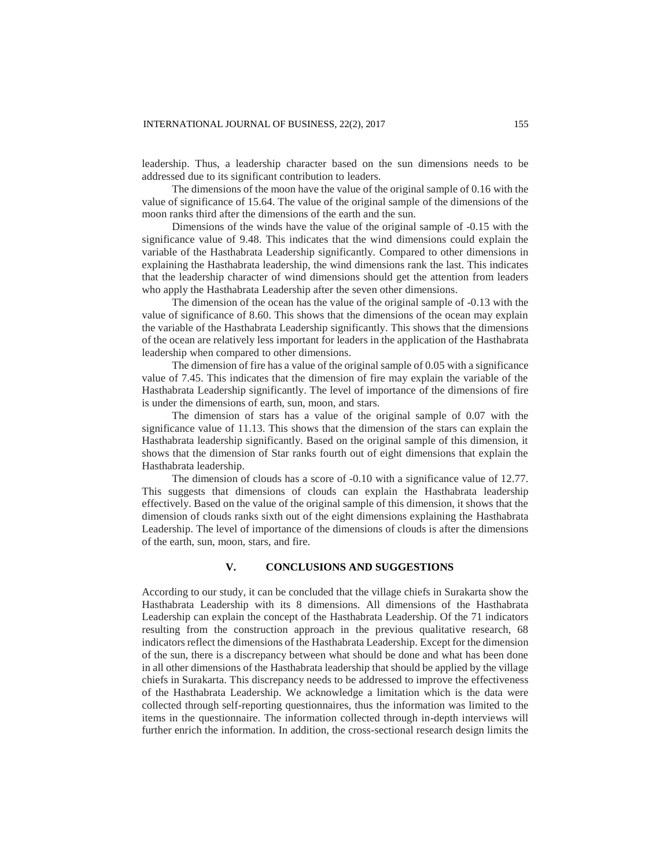leadership. Thus, a leadership character based on the sun dimensions needs to be addressed due to its significant contribution to leaders.

The dimensions of the moon have the value of the original sample of 0.16 with the value of significance of 15.64. The value of the original sample of the dimensions of the moon ranks third after the dimensions of the earth and the sun.

Dimensions of the winds have the value of the original sample of -0.15 with the significance value of 9.48. This indicates that the wind dimensions could explain the variable of the Hasthabrata Leadership significantly. Compared to other dimensions in explaining the Hasthabrata leadership, the wind dimensions rank the last. This indicates that the leadership character of wind dimensions should get the attention from leaders who apply the Hasthabrata Leadership after the seven other dimensions.

The dimension of the ocean has the value of the original sample of -0.13 with the value of significance of 8.60. This shows that the dimensions of the ocean may explain the variable of the Hasthabrata Leadership significantly. This shows that the dimensions of the ocean are relatively less important for leaders in the application of the Hasthabrata leadership when compared to other dimensions.

The dimension of fire has a value of the original sample of 0.05 with a significance value of 7.45. This indicates that the dimension of fire may explain the variable of the Hasthabrata Leadership significantly. The level of importance of the dimensions of fire is under the dimensions of earth, sun, moon, and stars.

The dimension of stars has a value of the original sample of 0.07 with the significance value of 11.13. This shows that the dimension of the stars can explain the Hasthabrata leadership significantly. Based on the original sample of this dimension, it shows that the dimension of Star ranks fourth out of eight dimensions that explain the Hasthabrata leadership.

The dimension of clouds has a score of -0.10 with a significance value of 12.77. This suggests that dimensions of clouds can explain the Hasthabrata leadership effectively. Based on the value of the original sample of this dimension, it shows that the dimension of clouds ranks sixth out of the eight dimensions explaining the Hasthabrata Leadership. The level of importance of the dimensions of clouds is after the dimensions of the earth, sun, moon, stars, and fire.

# **V. CONCLUSIONS AND SUGGESTIONS**

According to our study, it can be concluded that the village chiefs in Surakarta show the Hasthabrata Leadership with its 8 dimensions. All dimensions of the Hasthabrata Leadership can explain the concept of the Hasthabrata Leadership. Of the 71 indicators resulting from the construction approach in the previous qualitative research, 68 indicators reflect the dimensions of the Hasthabrata Leadership. Except for the dimension of the sun, there is a discrepancy between what should be done and what has been done in all other dimensions of the Hasthabrata leadership that should be applied by the village chiefs in Surakarta. This discrepancy needs to be addressed to improve the effectiveness of the Hasthabrata Leadership. We acknowledge a limitation which is the data were collected through self-reporting questionnaires, thus the information was limited to the items in the questionnaire. The information collected through in-depth interviews will further enrich the information. In addition, the cross-sectional research design limits the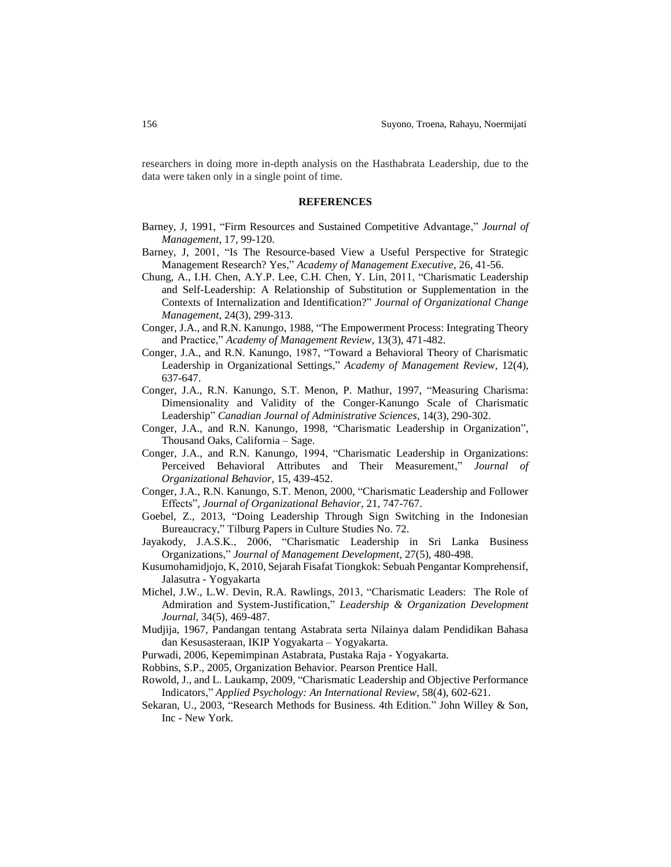researchers in doing more in-depth analysis on the Hasthabrata Leadership, due to the data were taken only in a single point of time.

#### **REFERENCES**

- Barney, J, 1991, "Firm Resources and Sustained Competitive Advantage," *Journal of Management*, 17, 99-120.
- Barney, J, 2001, "Is The Resource-based View a Useful Perspective for Strategic Management Research? Yes," *Academy of Management Executive*, 26, 41-56.
- Chung, A., I.H. Chen, A.Y.P. Lee, C.H. Chen, Y. Lin, 2011, "Charismatic Leadership and Self-Leadership: A Relationship of Substitution or Supplementation in the Contexts of Internalization and Identification?" *Journal of Organizational Change Management*, 24(3), 299-313.
- Conger, J.A., and R.N. Kanungo, 1988, "The Empowerment Process: Integrating Theory and Practice," *Academy of Management Review*, 13(3), 471-482.
- Conger, J.A., and R.N. Kanungo, 1987, "Toward a Behavioral Theory of Charismatic Leadership in Organizational Settings," *Academy of Management Review*, 12(4), 637-647.
- Conger, J.A., R.N. Kanungo, S.T. Menon, P. Mathur, 1997, "Measuring Charisma: Dimensionality and Validity of the Conger-Kanungo Scale of Charismatic Leadership" *Canadian Journal of Administrative Sciences*, 14(3), 290-302.
- Conger, J.A., and R.N. Kanungo, 1998, "Charismatic Leadership in Organization", Thousand Oaks, California – Sage.
- Conger, J.A., and R.N. Kanungo, 1994, "Charismatic Leadership in Organizations: Perceived Behavioral Attributes and Their Measurement," *Journal of Organizational Behavior*, 15, 439-452.
- Conger, J.A., R.N. Kanungo, S.T. Menon, 2000, "Charismatic Leadership and Follower Effects", *Journal of Organizational Behavior*, 21, 747-767.
- Goebel, Z., 2013, "Doing Leadership Through Sign Switching in the Indonesian Bureaucracy," Tilburg Papers in Culture Studies No. 72.
- Jayakody, J.A.S.K., 2006, "Charismatic Leadership in Sri Lanka Business Organizations," *Journal of Management Development*, 27(5), 480-498.
- Kusumohamidjojo, K, 2010, Sejarah Fisafat Tiongkok: Sebuah Pengantar Komprehensif, Jalasutra - Yogyakarta
- Michel, J.W., L.W. Devin, R.A. Rawlings, 2013, "Charismatic Leaders: The Role of Admiration and System-Justification," *Leadership & Organization Development Journal*, 34(5), 469-487.
- Mudjija, 1967, Pandangan tentang Astabrata serta Nilainya dalam Pendidikan Bahasa dan Kesusasteraan, IKIP Yogyakarta – Yogyakarta.
- Purwadi, 2006, Kepemimpinan Astabrata, Pustaka Raja Yogyakarta.
- Robbins, S.P., 2005, Organization Behavior. Pearson Prentice Hall.
- Rowold, J., and L. Laukamp, 2009, "Charismatic Leadership and Objective Performance Indicators," *Applied Psychology: An International Review*, 58(4), 602-621.
- Sekaran, U., 2003, "Research Methods for Business. 4th Edition." John Willey & Son, Inc - New York.